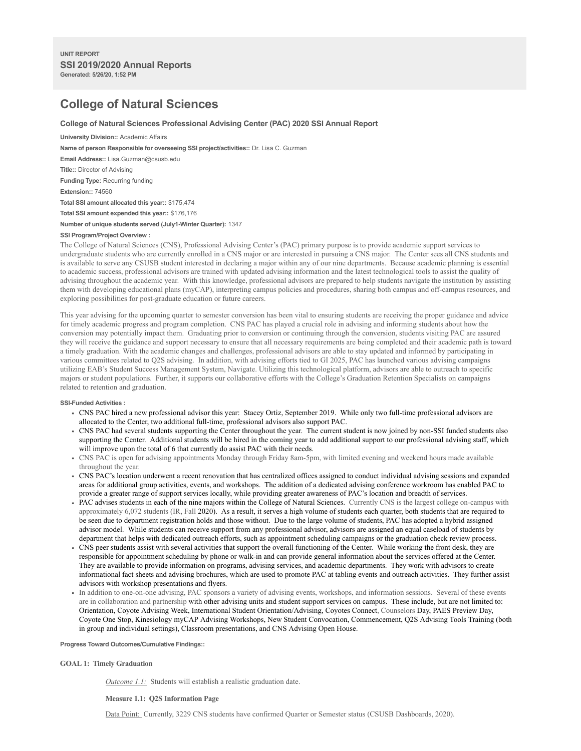# **College of Natural Sciences**

# **College of Natural Sciences Professional Advising Center (PAC) 2020 SSI Annual Report**

**University Division::** Academic Affairs **Name of person Responsible for overseeing SSI project/activities::** Dr. Lisa C. Guzman **Email Address::** Lisa.Guzman@csusb.edu **Title::** Director of Advising **Funding Type:** Recurring funding **Extension::** 74560 **Total SSI amount allocated this year::** \$175,474 **Total SSI amount expended this year::** \$176,176 **Number of unique students served (July1-Winter Quarter):** 1347

## **SSI Program/Project Overview :**

The College of Natural Sciences (CNS), Professional Advising Center's (PAC) primary purpose is to provide academic support services to undergraduate students who are currently enrolled in a CNS major or are interested in pursuing a CNS major. The Center sees all CNS students and is available to serve any CSUSB student interested in declaring a major within any of our nine departments. Because academic planning is essential to academic success, professional advisors are trained with updated advising information and the latest technological tools to assist the quality of advising throughout the academic year. With this knowledge, professional advisors are prepared to help students navigate the institution by assisting them with developing educational plans (myCAP), interpreting campus policies and procedures, sharing both campus and off-campus resources, and exploring possibilities for post-graduate education or future careers.

This year advising for the upcoming quarter to semester conversion has been vital to ensuring students are receiving the proper guidance and advice for timely academic progress and program completion. CNS PAC has played a crucial role in advising and informing students about how the conversion may potentially impact them. Graduating prior to conversion or continuing through the conversion, students visiting PAC are assured they will receive the guidance and support necessary to ensure that all necessary requirements are being completed and their academic path is toward a timely graduation. With the academic changes and challenges, professional advisors are able to stay updated and informed by participating in various committees related to Q2S advising. In addition, with advising efforts tied to GI 2025, PAC has launched various advising campaigns utilizing EAB's Student Success Management System, Navigate. Utilizing this technological platform, advisors are able to outreach to specific majors or student populations. Further, it supports our collaborative efforts with the College's Graduation Retention Specialists on campaigns related to retention and graduation.

#### **SSI-Funded Activities :**

- CNS PAC hired a new professional advisor this year: Stacey Ortiz, September 2019. While only two full-time professional advisors are allocated to the Center, two additional full-time, professional advisors also support PAC.
- CNS PAC had several students supporting the Center throughout the year. The current student is now joined by non-SSI funded students also supporting the Center. Additional students will be hired in the coming year to add additional support to our professional advising staff, which will improve upon the total of 6 that currently do assist PAC with their needs.
- CNS PAC is open for advising appointments Monday through Friday 8am-5pm, with limited evening and weekend hours made available throughout the year.
- CNS PAC's location underwent a recent renovation that has centralized offices assigned to conduct individual advising sessions and expanded areas for additional group activities, events, and workshops. The addition of a dedicated advising conference workroom has enabled PAC to provide a greater range of support services locally, while providing greater awareness of PAC's location and breadth of services.
- PAC advises students in each of the nine majors within the College of Natural Sciences. Currently CNS is the largest college on-campus with approximately 6,072 students (IR, Fall 2020). As a result, it serves a high volume of students each quarter, both students that are required to be seen due to department registration holds and those without. Due to the large volume of students, PAC has adopted a hybrid assigned advisor model. While students can receive support from any professional advisor, advisors are assigned an equal caseload of students by department that helps with dedicated outreach efforts, such as appointment scheduling campaigns or the graduation check review process.
- CNS peer students assist with several activities that support the overall functioning of the Center. While working the front desk, they are responsible for appointment scheduling by phone or walk-in and can provide general information about the services offered at the Center. They are available to provide information on programs, advising services, and academic departments. They work with advisors to create informational fact sheets and advising brochures, which are used to promote PAC at tabling events and outreach activities. They further assist advisors with workshop presentations and flyers.
- In addition to one-on-one advising, PAC sponsors a variety of advising events, workshops, and information sessions. Several of these events are in collaboration and partnership with other advising units and student support services on campus. These include, but are not limited to: Orientation, Coyote Advising Week, International Student Orientation/Advising, Coyotes Connect, Counselors Day, PAES Preview Day, Coyote One Stop, Kinesiology myCAP Advising Workshops, New Student Convocation, Commencement, Q2S Advising Tools Training (both in group and individual settings), Classroom presentations, and CNS Advising Open House.

**Progress Toward Outcomes/Cumulative Findings::**

## **GOAL 1: Timely Graduation**

*Outcome 1.1:* Students will establish a realistic graduation date.

#### **Measure 1.1: Q2S Information Page**

Data Point: Currently, 3229 CNS students have confirmed Quarter or Semester status (CSUSB Dashboards, 2020).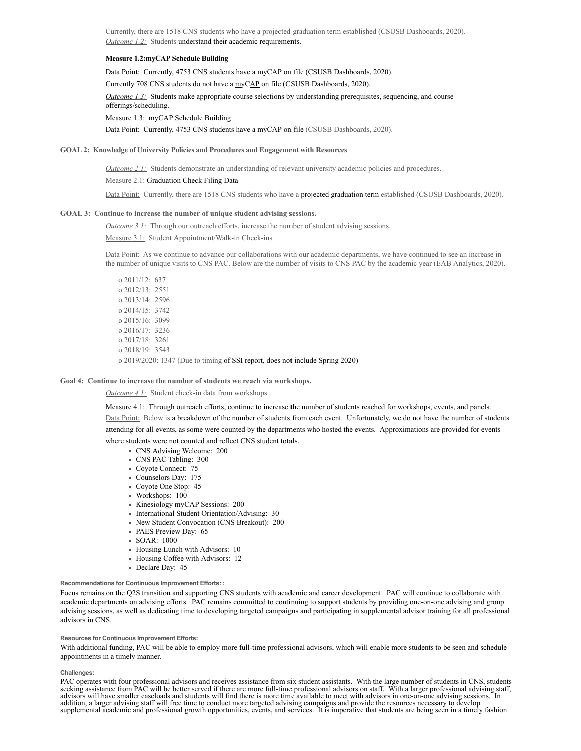Currently, there are 1518 CNS students who have a projected graduation term established (CSUSB Dashboards, 2020). *Outcome 1.2:* Students understand their academic requirements.

## **Measure 1.2:myCAP Schedule Building**

Data Point: Currently, 4753 CNS students have a myCAP on file (CSUSB Dashboards, 2020).

Currently 708 CNS students do not have a myCAP on file (CSUSB Dashboards, 2020).

*Outcome 1.3:* Students make appropriate course selections by understanding prerequisites, sequencing, and course offerings/scheduling.

Measure 1.3: myCAP Schedule Building

Data Point: Currently, 4753 CNS students have a myCAP on file (CSUSB Dashboards, 2020).

## **GOAL 2: Knowledge of University Policies and Procedures and Engagement with Resources**

*Outcome 2.1:* Students demonstrate an understanding of relevant university academic policies and procedures.

#### Measure 2.1: Graduation Check Filing Data

Data Point: Currently, there are 1518 CNS students who have a projected graduation term established (CSUSB Dashboards, 2020).

#### **GOAL 3: Continue to increase the number of unique student advising sessions.**

*Outcome 3.1:* Through our outreach efforts, increase the number of student advising sessions.

Measure 3.1: Student Appointment/Walk-in Check-ins

Data Point: As we continue to advance our collaborations with our academic departments, we have continued to see an increase in the number of unique visits to CNS PAC. Below are the number of visits to CNS PAC by the academic year (EAB Analytics, 2020).

o 2011/12: 637 o 2012/13: 2551 o 2013/14: 2596 o 2014/15: 3742 o 2015/16: 3099 o 2016/17: 3236 o 2017/18: 3261 o 2018/19: 3543 o 2019/2020: 1347 (Due to timing of SSI report, does not include Spring 2020)

## **Goal 4: Continue to increase the number of students we reach via workshops.**

#### *Outcome 4.1:* Student check-in data from workshops.

Measure 4.1: Through outreach efforts, continue to increase the number of students reached for workshops, events, and panels. Data Point: Below is a breakdown of the number of students from each event. Unfortunately, we do not have the number of students attending for all events, as some were counted by the departments who hosted the events. Approximations are provided for events where students were not counted and reflect CNS student totals.

- CNS Advising Welcome: 200
- CNS PAC Tabling: 300
- Coyote Connect: 75
- Counselors Day: 175
- Coyote One Stop: 45
- Workshops: 100
- Kinesiology myCAP Sessions: 200
- International Student Orientation/Advising: 30
- New Student Convocation (CNS Breakout): 200
- PAES Preview Day: 65
- SOAR: 1000
- Housing Lunch with Advisors: 10
- Housing Coffee with Advisors: 12
- Declare Day: 45

## **Recommendations for Continuous Improvement Efforts: :**

Focus remains on the Q2S transition and supporting CNS students with academic and career development. PAC will continue to collaborate with academic departments on advising efforts. PAC remains committed to continuing to support students by providing one-on-one advising and group advising sessions, as well as dedicating time to developing targeted campaigns and participating in supplemental advisor training for all professional advisors in CNS.

## **Resources for Continuous Improvement Efforts:**

With additional funding, PAC will be able to employ more full-time professional advisors, which will enable more students to be seen and schedule appointments in a timely manner.

#### **Challenges:**

PAC operates with four professional advisors and receives assistance from six student assistants. With the large number of students in CNS, students<br>seeking assistance from PAC will be better served if there are more fulladvisors will have smaller caseloads and students will find there is more time available to meet with advisors in one-on-one advising sessions. In addition, a larger advising staff will free time to conduct more targeted advising campaigns and provide the resources necessary to develop supplemental academic and professional growth opportunities, events, and services. It is imperative that students are being seen in a timely fashion